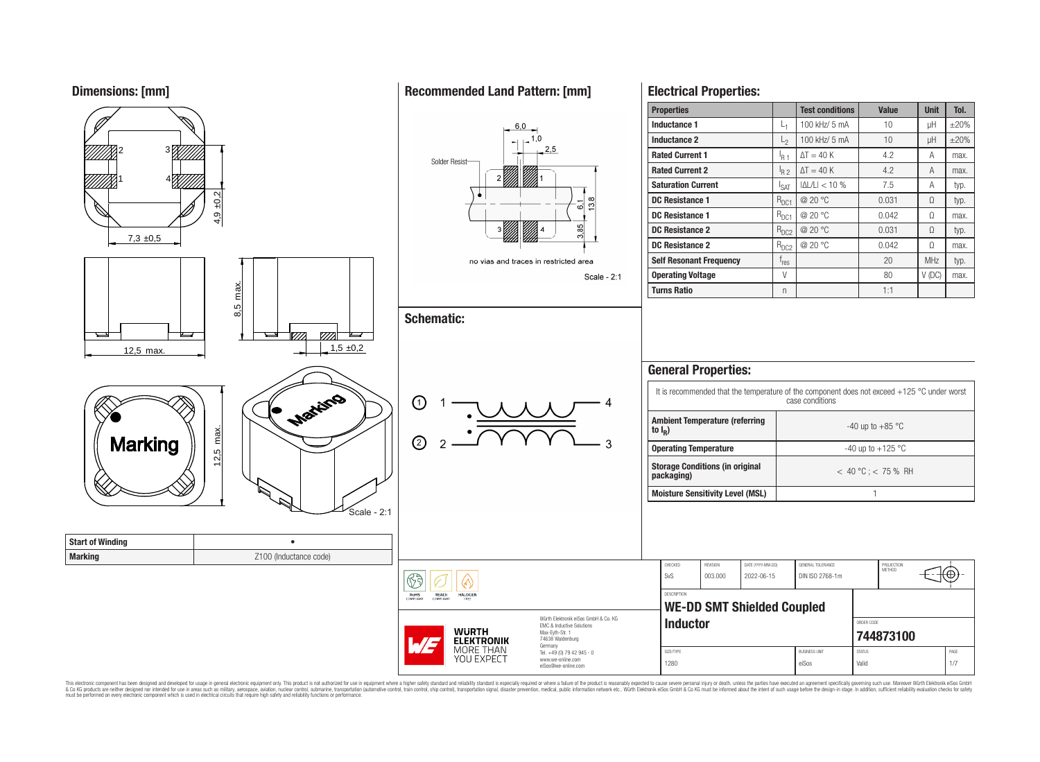**Dimensions: [mm]**



This electronic component has been designed and developed for usage in general electronic equipment only. This product is not authorized for use in equipment where a higher safety standard and reliability standard is espec & Ook product a label and the membed of the seasuch as marked and as which such a membed and the such assume that income in the seasuch and the simulation and the such assume that include to the such a membed and the such

'⊕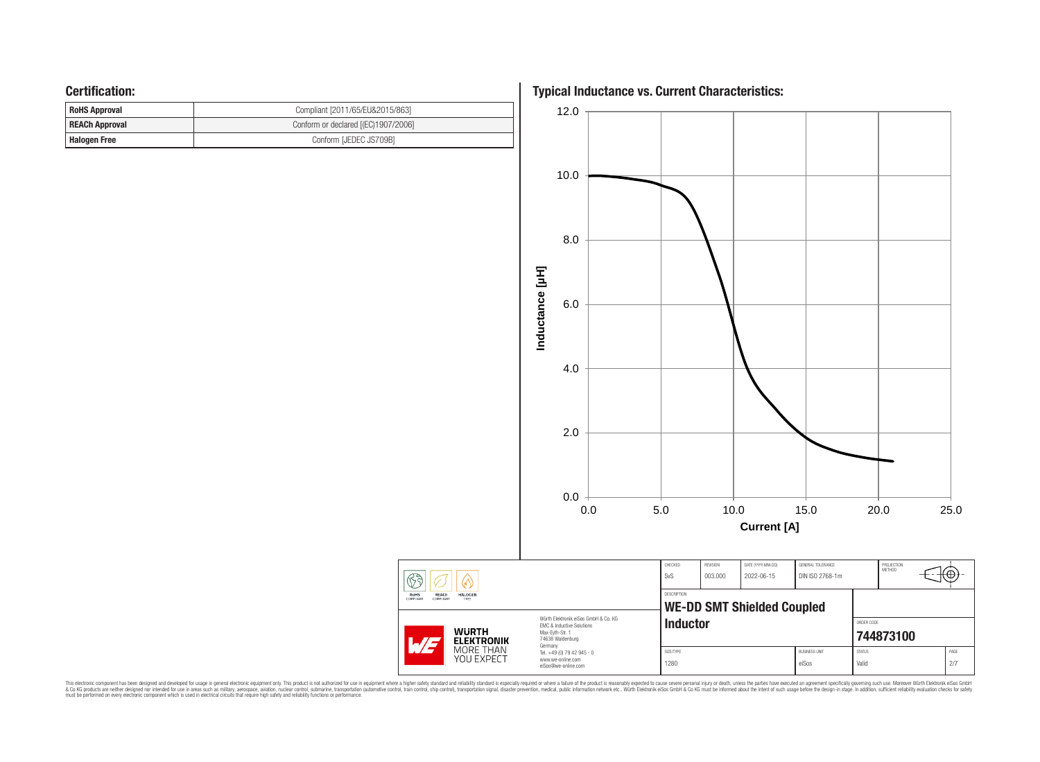## **Certification:**

| <b>RoHS Approval</b>  | Compliant [2011/65/EU&2015/863]     |  |  |  |  |  |
|-----------------------|-------------------------------------|--|--|--|--|--|
| <b>REACh Approval</b> | Conform or declared [(EC)1907/2006] |  |  |  |  |  |
| Halogen Free          | Conform [JEDEC JS709B]              |  |  |  |  |  |

**Typical Inductance vs. Current Characteristics:**



This electronic component has been designed and developed for usage in general electronic equipment only. This product is not authorized for subserved requipment where a higher selection equipment where a higher selection

 $\circled{6}$ 

RoHS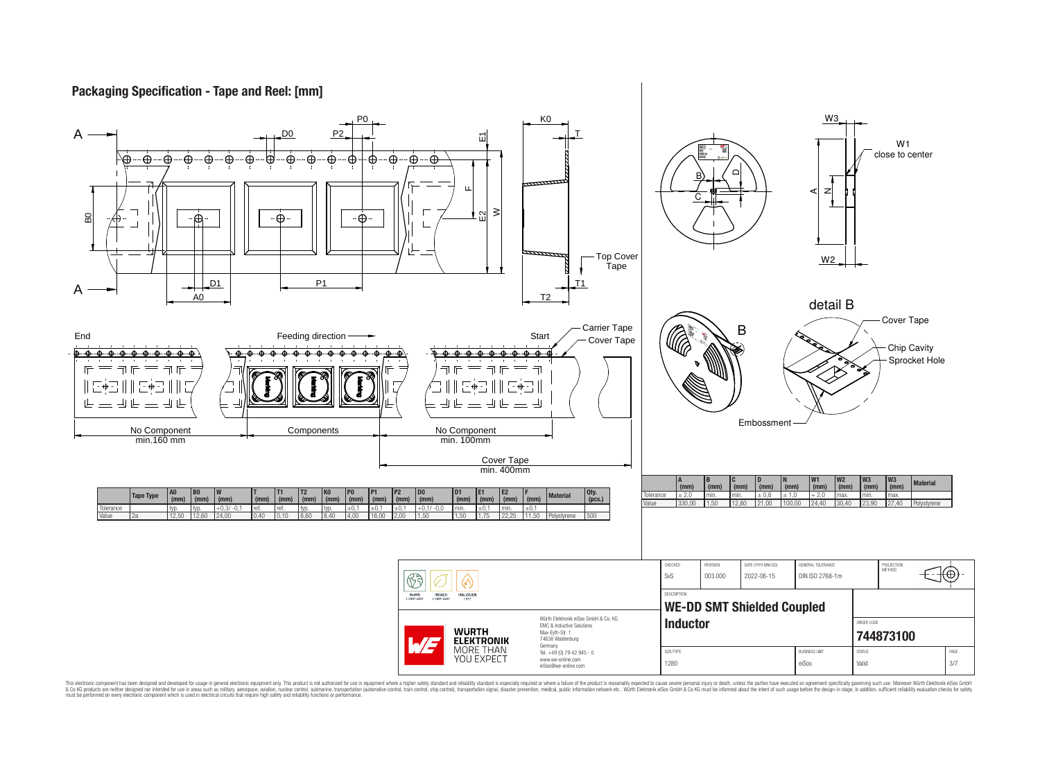## **Packaging Specification - Tape and Reel: [mm]**



This electronic component has been designed and developed for usage in general electronic equipment only. This product is not authorized for use in equipment where a higher safely standard and reliability standard si espec & Ook product a label and the membed of the seasuch as marked and as which such a membed and the such assume that income in the seasuch and the simulation and the such assume that include to the such a membed and the such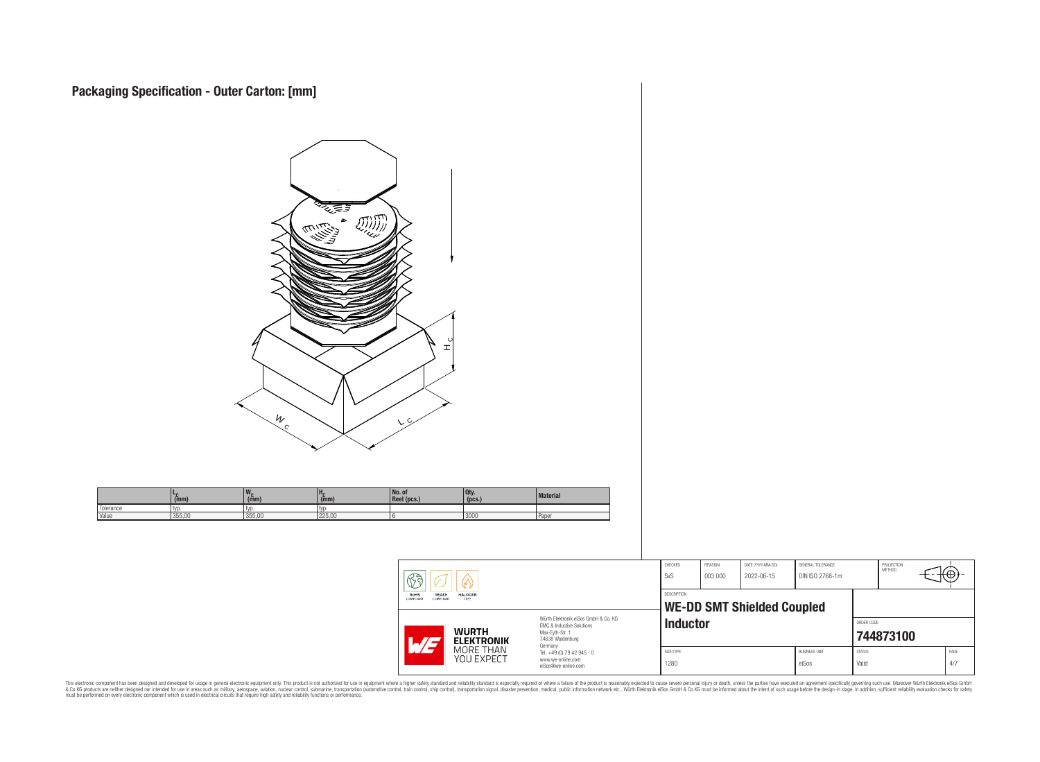**Packaging Specification - Outer Carton: [mm]**

| <u>জুক্লুর</u><br>$\binom{1}{2}$<br>$\infty$<br>د مناسبی<br>فرنگ ایران<br>ଧ<br>피<br>$\frac{W}{C}$<br>V |                               |                       |                       |                                                              |                                                                      |                                                                                                                                                   |                                                                |                     |                                                                      |                                                              |                                                           |            |
|--------------------------------------------------------------------------------------------------------|-------------------------------|-----------------------|-----------------------|--------------------------------------------------------------|----------------------------------------------------------------------|---------------------------------------------------------------------------------------------------------------------------------------------------|----------------------------------------------------------------|---------------------|----------------------------------------------------------------------|--------------------------------------------------------------|-----------------------------------------------------------|------------|
|                                                                                                        | $L_{\hat{c}}$ <sub>(mm)</sub> | $w_c$ <sub>(mm)</sub> | $H_C$ <sub>(mm)</sub> | No. of<br>Reel (pcs.)                                        | $Qty.$ (pcs.)                                                        | <b>Material</b>                                                                                                                                   |                                                                |                     |                                                                      |                                                              |                                                           |            |
| Tolerance<br>Value                                                                                     | typ.<br>355,00                | typ.<br>355,00        | typ.<br>225,00        |                                                              | 3000                                                                 | Paper                                                                                                                                             |                                                                |                     |                                                                      |                                                              |                                                           |            |
|                                                                                                        |                               |                       |                       | $\circledS$<br>RoHS<br>COMPLIANT<br>REACH<br>COMPLIANT<br>WE | <br><b>HALOGEN</b><br>WURTH<br>ELEKTRONIK<br>MORE THAN<br>YOU EXPECT | Würth Elektronik eiSos GmbH & Co. KG<br>EMC & Inductive Solutions<br>Max-Eyth-Str. 1<br>74638 Waldenburg<br>Germany<br>Tel. +49 (0) 79 42 945 - 0 | ${\sf CHECKED}$<br>SvS<br>DESCRIPTION<br>Inductor<br>SIZE/TYPE | REVISION<br>003.000 | DATE (YYYY-MM-DD)<br>2022-06-15<br><b>WE-DD SMT Shielded Coupled</b> | GENERAL TOLERANCE<br>DIN ISO 2768-1m<br><b>BUSINESS UNIT</b> | PROJECTION<br>METHOD<br>ORDER CODE<br>744873100<br>STATUS | €⊕<br>PAGE |
|                                                                                                        |                               |                       |                       |                                                              |                                                                      | www.we-online.com<br>eiSos@we-online.com                                                                                                          | 1280                                                           |                     |                                                                      | eiSos                                                        | Valid                                                     | $4/7\,$    |

This electronic component has been designed and developed for usage in general electronic equipment only. This product is not authorized for subserved requipment where a higher selection equipment where a higher selection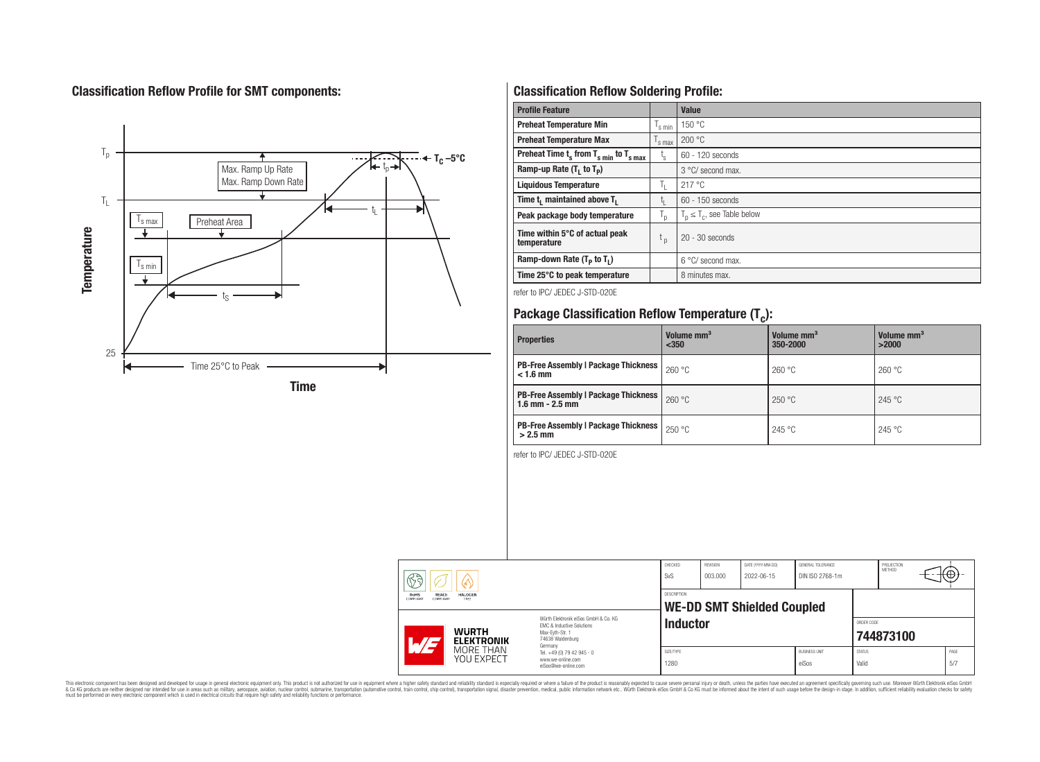# **Classification Reflow Profile for SMT components:**



# **Classification Reflow Soldering Profile:**

| <b>Profile Feature</b>                              |                           | Value                            |
|-----------------------------------------------------|---------------------------|----------------------------------|
| <b>Preheat Temperature Min</b>                      | 's min                    | 150 °C                           |
| <b>Preheat Temperature Max</b>                      | <sup>I</sup> s max        | 200 °C                           |
| Preheat Time $t_s$ from $T_{s,min}$ to $T_{s,max}$  | $t_{\rm s}$               | $60 - 120$ seconds               |
| Ramp-up Rate $(T_1$ to $T_p$ )                      |                           | 3 °C/ second max.                |
| <b>Liquidous Temperature</b>                        | ъ.                        | 217 °C                           |
| Time t <sub>i</sub> maintained above T <sub>1</sub> | t,                        | $60 - 150$ seconds               |
| Peak package body temperature                       | $\mathsf{I}_{\mathsf{D}}$ | $T_p \leq T_c$ , see Table below |
| Time within 5°C of actual peak<br>temperature       | t <sub>p</sub>            | $20 - 30$ seconds                |
| Ramp-down Rate $(T_p$ to $T_1$ )                    |                           | $6^{\circ}$ C/ second max.       |
| Time 25°C to peak temperature                       |                           | 8 minutes max.                   |

refer to IPC/ JEDEC J-STD-020E

# **Package Classification Reflow Temperature (T<sup>c</sup> ):**

| <b>Properties</b>                                                    | Volume mm <sup>3</sup><br>$350$ | Volume mm <sup>3</sup><br>350-2000 | Volume mm <sup>3</sup><br>>2000 |
|----------------------------------------------------------------------|---------------------------------|------------------------------------|---------------------------------|
| <b>PB-Free Assembly   Package Thickness</b><br>$< 1.6$ mm            | 260 °C                          | 260 °C                             | 260 °C                          |
| <b>PB-Free Assembly   Package Thickness  </b><br>$1.6$ mm $- 2.5$ mm | 260 °C                          | 250 °C                             | 245 °C                          |
| <b>PB-Free Assembly   Package Thickness  </b><br>$>2.5$ mm           | 250 °C                          | 245 °C                             | 245 °C                          |

refer to IPC/ JEDEC J-STD-020E

|  | $\mathbb{Z}$ a<br>∞<br>REACh<br><b>RoHS</b><br><b>HALOGEN</b><br>COMPLIANT<br>FREE<br><b>COMPLIANT</b> |                                   | CHECKED<br>SvS                                                                                                                 | REVISION<br>003.000 | DATE (YYYY-MM-DD)<br>2022-06-15 | GENERAL TOLERANCE<br>DIN ISO 2768-1m |                               | PROJECTION<br><b>METHOD</b> | ₩Φ        |  |              |
|--|--------------------------------------------------------------------------------------------------------|-----------------------------------|--------------------------------------------------------------------------------------------------------------------------------|---------------------|---------------------------------|--------------------------------------|-------------------------------|-----------------------------|-----------|--|--------------|
|  |                                                                                                        |                                   | DESCRIPTION<br><b>WE-DD SMT Shielded Coupled</b>                                                                               |                     |                                 |                                      |                               |                             |           |  |              |
|  | $AT -$                                                                                                 | <b>WURTH</b><br><b>ELEKTRONIK</b> | Würth Flektronik eiSos GmbH & Co. KG<br><b>FMC &amp; Inductive Solutions</b><br>Max-Evth-Str. 1<br>74638 Waldenburg<br>Germany | <b>Inductor</b>     |                                 |                                      |                               | ORDER CODE                  | 744873100 |  |              |
|  |                                                                                                        | MORE THAN<br>YOU EXPECT           | Tel. +49 (0) 79 42 945 - 0<br>www.we-online.com<br>eiSos@we-online.com                                                         | SIZE/TYPE<br>1280   |                                 |                                      | <b>BUSINESS UNIT</b><br>eiSos | <b>STATUS</b><br>Valid      |           |  | PAGE<br>.5/7 |

This electronic component has been designed and developed for usage in general electronic equipment only. This product is not authorized for subserved requipment where a higher selection equipment where a higher selection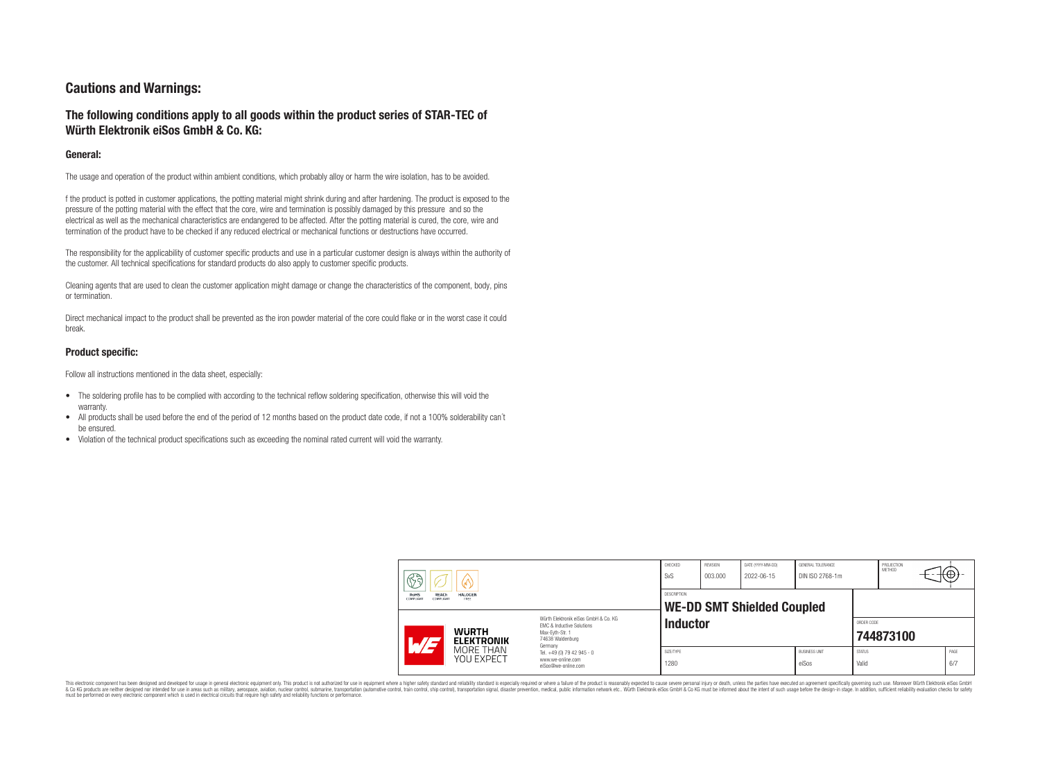## **Cautions and Warnings:**

## **The following conditions apply to all goods within the product series of STAR-TEC of Würth Elektronik eiSos GmbH & Co. KG:**

## **General:**

The usage and operation of the product within ambient conditions, which probably alloy or harm the wire isolation, has to be avoided.

f the product is potted in customer applications, the potting material might shrink during and after hardening. The product is exposed to the pressure of the potting material with the effect that the core, wire and termination is possibly damaged by this pressure and so the electrical as well as the mechanical characteristics are endangered to be affected. After the potting material is cured, the core, wire and termination of the product have to be checked if any reduced electrical or mechanical functions or destructions have occurred.

The responsibility for the applicability of customer specific products and use in a particular customer design is always within the authority of the customer. All technical specifications for standard products do also apply to customer specific products.

Cleaning agents that are used to clean the customer application might damage or change the characteristics of the component, body, pins or termination.

Direct mechanical impact to the product shall be prevented as the iron powder material of the core could flake or in the worst case it could break.

#### **Product specific:**

Follow all instructions mentioned in the data sheet, especially:

- The soldering profile has to be complied with according to the technical reflow soldering specification, otherwise this will void the warranty.
- All products shall be used before the end of the period of 12 months based on the product date code, if not a 100% solderability can't be ensured.
- Violation of the technical product specifications such as exceeding the nominal rated current will void the warranty.

| 63<br>60)<br>REACh<br>RoHS<br><b>HALOGEN</b><br>COMPLIANT<br><b>COMPLIANT</b><br>FREE |                                                                                                                                | CHECKED<br>SvS     | REVISION<br>003.000               | DATE (YYYY-MM-DD)<br>2022-06-15 | <b>GENERAL TOLERANCE</b><br>DIN ISO 2768-1m |                        | PROJECTION<br>METHOD | (⊕)         |
|---------------------------------------------------------------------------------------|--------------------------------------------------------------------------------------------------------------------------------|--------------------|-----------------------------------|---------------------------------|---------------------------------------------|------------------------|----------------------|-------------|
|                                                                                       |                                                                                                                                | <b>DESCRIPTION</b> | <b>WE-DD SMT Shielded Coupled</b> |                                 |                                             |                        |                      |             |
| <b>WURTH</b><br>L/E<br><b>ELEKTRONIK</b>                                              | Würth Elektronik eiSos GmbH & Co. KG<br><b>EMC &amp; Inductive Solutions</b><br>Max-Evth-Str. 1<br>74638 Waldenburg<br>Germany | <b>Inductor</b>    |                                   |                                 |                                             | ORDER CODE             | 744873100            |             |
| MORE THAN<br>YOU EXPECT                                                               | Tel. +49 (0) 79 42 945 - 0<br>www.we-online.com<br>eiSos@we-online.com                                                         | SIZE/TYPE<br>1280  |                                   |                                 | <b>BUSINESS UNIT</b><br>eiSos               | <b>STATUS</b><br>Valid |                      | PAGE<br>6/7 |

This electronic component has been designed and developed for usage in general electronic equipment only. This product is not authorized for use in equipment where a higher safety standard and reliability standard is espec & Ook product a label and the membed of the seasuch as marked and as which such a membed and the such assume that income in the seasuch and the simulation and the such assume that include to the such a membed and the such